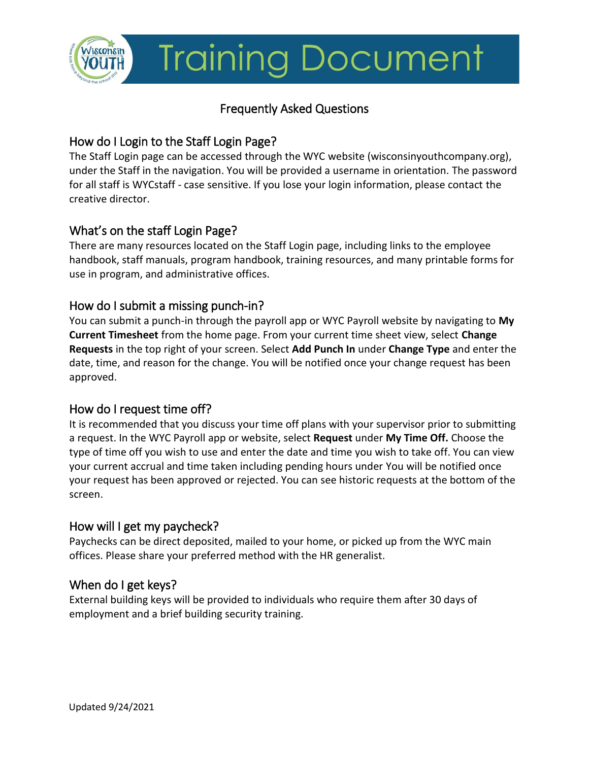

# **Training Document**

# Frequently Asked Questions

# How do I Login to the Staff Login Page?

The Staff Login page can be accessed through the WYC website (wisconsinyouthcompany.org), under the Staff in the navigation. You will be provided a username in orientation. The password for all staff is WYCstaff - case sensitive. If you lose your login information, please contact the creative director.

# What's on the staff Login Page?

There are many resources located on the Staff Login page, including links to the employee handbook, staff manuals, program handbook, training resources, and many printable forms for use in program, and administrative offices.

# How do I submit a missing punch-in?

You can submit a punch-in through the payroll app or WYC Payroll website by navigating to **My Current Timesheet** from the home page. From your current time sheet view, select **Change Requests** in the top right of your screen. Select **Add Punch In** under **Change Type** and enter the date, time, and reason for the change. You will be notified once your change request has been approved.

# How do I request time off?

It is recommended that you discuss your time off plans with your supervisor prior to submitting a request. In the WYC Payroll app or website, select **Request** under **My Time Off.** Choose the type of time off you wish to use and enter the date and time you wish to take off. You can view your current accrual and time taken including pending hours under You will be notified once your request has been approved or rejected. You can see historic requests at the bottom of the screen.

#### How will I get my paycheck?

Paychecks can be direct deposited, mailed to your home, or picked up from the WYC main offices. Please share your preferred method with the HR generalist.

#### When do I get keys?

External building keys will be provided to individuals who require them after 30 days of employment and a brief building security training.